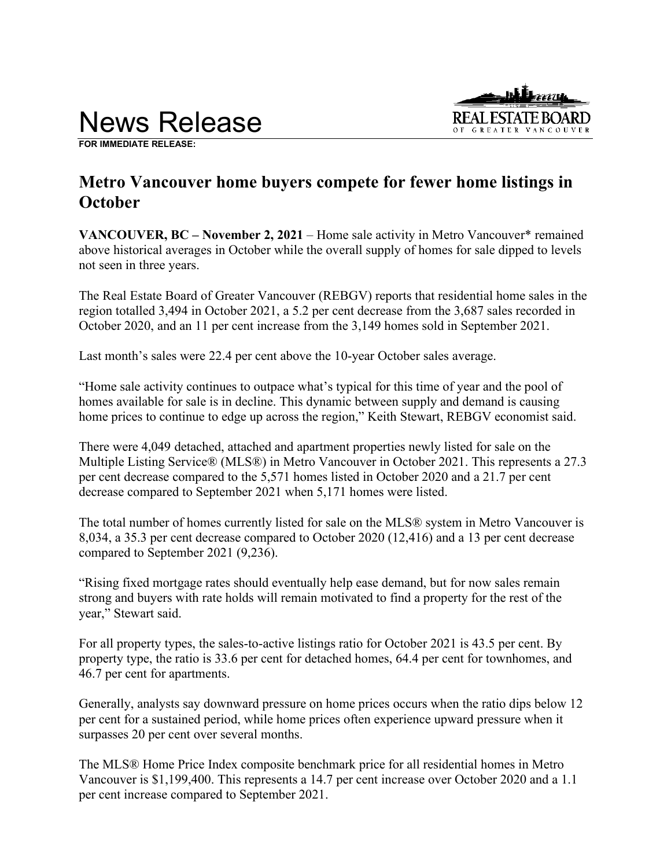# News Release



**FOR IMMEDIATE RELEASE:**

# **Metro Vancouver home buyers compete for fewer home listings in October**

**VANCOUVER, BC – November 2, 2021** – Home sale activity in Metro Vancouver\* remained above historical averages in October while the overall supply of homes for sale dipped to levels not seen in three years.

The Real Estate Board of Greater Vancouver (REBGV) reports that residential home sales in the region totalled 3,494 in October 2021, a 5.2 per cent decrease from the 3,687 sales recorded in October 2020, and an 11 per cent increase from the 3,149 homes sold in September 2021.

Last month's sales were 22.4 per cent above the 10-year October sales average.

"Home sale activity continues to outpace what's typical for this time of year and the pool of homes available for sale is in decline. This dynamic between supply and demand is causing home prices to continue to edge up across the region," Keith Stewart, REBGV economist said.

There were 4,049 detached, attached and apartment properties newly listed for sale on the Multiple Listing Service® (MLS®) in Metro Vancouver in October 2021. This represents a 27.3 per cent decrease compared to the 5,571 homes listed in October 2020 and a 21.7 per cent decrease compared to September 2021 when 5,171 homes were listed.

The total number of homes currently listed for sale on the MLS® system in Metro Vancouver is 8,034, a 35.3 per cent decrease compared to October 2020 (12,416) and a 13 per cent decrease compared to September 2021 (9,236).

"Rising fixed mortgage rates should eventually help ease demand, but for now sales remain strong and buyers with rate holds will remain motivated to find a property for the rest of the year," Stewart said.

For all property types, the sales-to-active listings ratio for October 2021 is 43.5 per cent. By property type, the ratio is 33.6 per cent for detached homes, 64.4 per cent for townhomes, and 46.7 per cent for apartments.

Generally, analysts say downward pressure on home prices occurs when the ratio dips below 12 per cent for a sustained period, while home prices often experience upward pressure when it surpasses 20 per cent over several months.

The MLS® Home Price Index composite benchmark price for all residential homes in Metro Vancouver is \$1,199,400. This represents a 14.7 per cent increase over October 2020 and a 1.1 per cent increase compared to September 2021.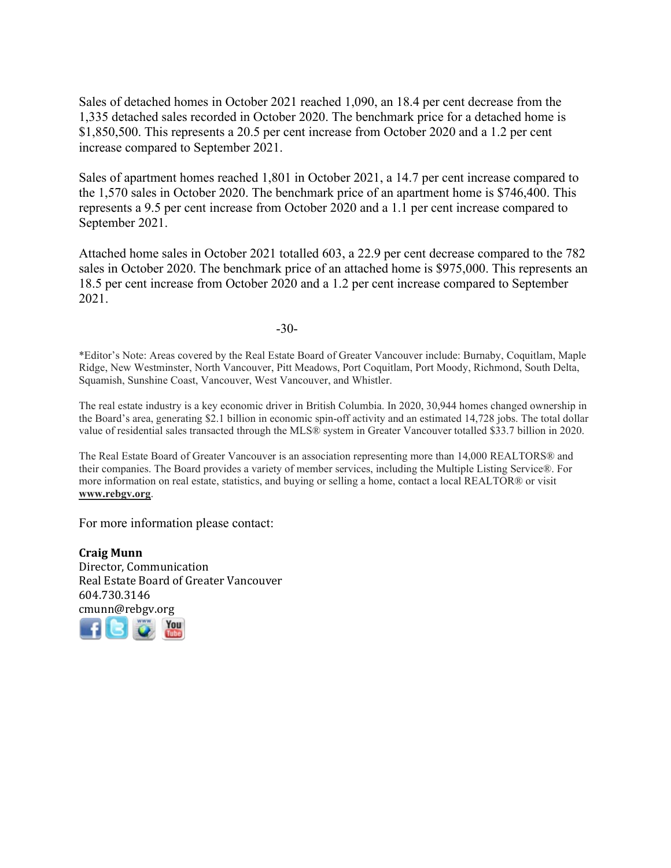Sales of detached homes in October 2021 reached 1,090, an 18.4 per cent decrease from the 1,335 detached sales recorded in October 2020. The benchmark price for a detached home is \$1,850,500. This represents a 20.5 per cent increase from October 2020 and a 1.2 per cent increase compared to September 2021.

Sales of apartment homes reached 1,801 in October 2021, a 14.7 per cent increase compared to the 1,570 sales in October 2020. The benchmark price of an apartment home is \$746,400. This represents a 9.5 per cent increase from October 2020 and a 1.1 per cent increase compared to September 2021.

Attached home sales in October 2021 totalled 603, a 22.9 per cent decrease compared to the 782 sales in October 2020. The benchmark price of an attached home is \$975,000. This represents an 18.5 per cent increase from October 2020 and a 1.2 per cent increase compared to September 2021.

-30-

\*Editor's Note: Areas covered by the Real Estate Board of Greater Vancouver include: Burnaby, Coquitlam, Maple Ridge, New Westminster, North Vancouver, Pitt Meadows, Port Coquitlam, Port Moody, Richmond, South Delta, Squamish, Sunshine Coast, Vancouver, West Vancouver, and Whistler.

The real estate industry is a key economic driver in British Columbia. In 2020, 30,944 homes changed ownership in the Board's area, generating \$2.1 billion in economic spin-off activity and an estimated 14,728 jobs. The total dollar value of residential sales transacted through the MLS® system in Greater Vancouver totalled \$33.7 billion in 2020.

The Real Estate Board of Greater Vancouver is an association representing more than 14,000 REALTORS® and their companies. The Board provides a variety of member services, including the Multiple Listing Service®. For more information on real estate, statistics, and buying or selling a home, contact a local REALTOR® or visit **www.rebgv.org**.

For more information please contact:

**Craig Munn** Director, Communication Real Estate Board of Greater Vancouver 604.730.3146 [cmu](http://www.facebook.com/rebgv)[nn@r](http://www.twitter.com/rebgv)[ebgv.](http://www.rebgv.org/)[org](http://www.youtube.com/user/rebgv)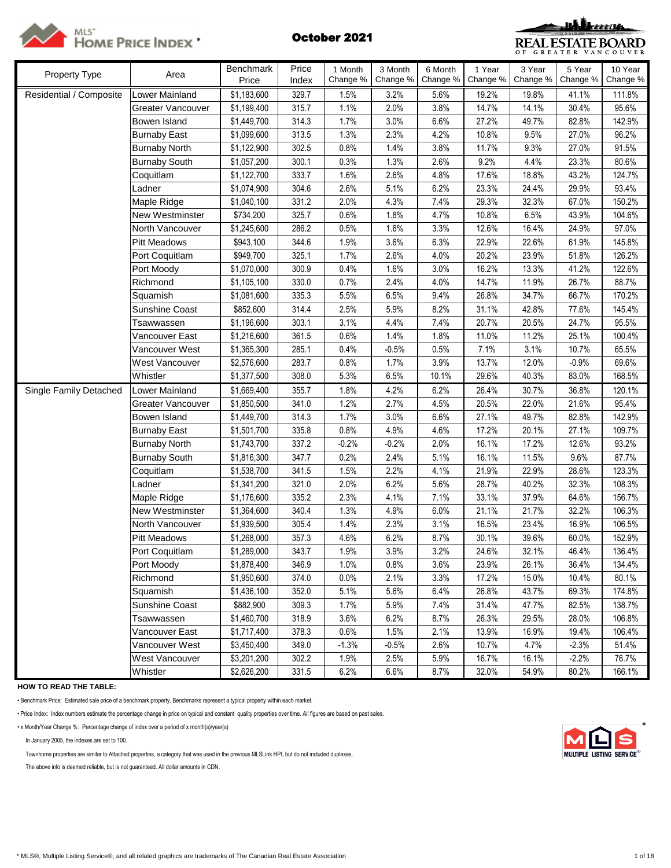



| Property Type           | Area                   | Benchmark   | Price | 1 Month  | 3 Month  | 6 Month  | 1 Year   | 3 Year   | 5 Year   | $\overline{10}$ Year |
|-------------------------|------------------------|-------------|-------|----------|----------|----------|----------|----------|----------|----------------------|
|                         |                        | Price       | Index | Change % | Change % | Change % | Change % | Change % | Change % | Change %             |
| Residential / Composite | Lower Mainland         | \$1,183,600 | 329.7 | 1.5%     | 3.2%     | 5.6%     | 19.2%    | 19.8%    | 41.1%    | 111.8%               |
|                         | Greater Vancouver      | \$1,199,400 | 315.7 | 1.1%     | 2.0%     | 3.8%     | 14.7%    | 14.1%    | 30.4%    | 95.6%                |
|                         | Bowen Island           | \$1,449,700 | 314.3 | 1.7%     | 3.0%     | 6.6%     | 27.2%    | 49.7%    | 82.8%    | 142.9%               |
|                         | <b>Burnaby East</b>    | \$1,099,600 | 313.5 | 1.3%     | 2.3%     | 4.2%     | 10.8%    | 9.5%     | 27.0%    | 96.2%                |
|                         | <b>Burnaby North</b>   | \$1,122,900 | 302.5 | 0.8%     | 1.4%     | 3.8%     | 11.7%    | 9.3%     | 27.0%    | 91.5%                |
|                         | <b>Burnaby South</b>   | \$1,057,200 | 300.1 | 0.3%     | 1.3%     | 2.6%     | 9.2%     | 4.4%     | 23.3%    | 80.6%                |
|                         | Coquitlam              | \$1,122,700 | 333.7 | 1.6%     | 2.6%     | 4.8%     | 17.6%    | 18.8%    | 43.2%    | 124.7%               |
|                         | Ladner                 | \$1,074,900 | 304.6 | 2.6%     | 5.1%     | 6.2%     | 23.3%    | 24.4%    | 29.9%    | 93.4%                |
|                         | Maple Ridge            | \$1,040,100 | 331.2 | 2.0%     | 4.3%     | 7.4%     | 29.3%    | 32.3%    | 67.0%    | 150.2%               |
|                         | <b>New Westminster</b> | \$734,200   | 325.7 | 0.6%     | 1.8%     | 4.7%     | 10.8%    | 6.5%     | 43.9%    | 104.6%               |
|                         | North Vancouver        | \$1,245,600 | 286.2 | 0.5%     | 1.6%     | 3.3%     | 12.6%    | 16.4%    | 24.9%    | 97.0%                |
|                         | Pitt Meadows           | \$943,100   | 344.6 | 1.9%     | 3.6%     | 6.3%     | 22.9%    | 22.6%    | 61.9%    | 145.8%               |
|                         | Port Coquitlam         | \$949,700   | 325.1 | 1.7%     | 2.6%     | 4.0%     | 20.2%    | 23.9%    | 51.8%    | 126.2%               |
|                         | Port Moody             | \$1,070,000 | 300.9 | 0.4%     | 1.6%     | 3.0%     | 16.2%    | 13.3%    | 41.2%    | 122.6%               |
|                         | Richmond               | \$1,105,100 | 330.0 | 0.7%     | 2.4%     | 4.0%     | 14.7%    | 11.9%    | 26.7%    | 88.7%                |
|                         | Squamish               | \$1,081,600 | 335.3 | 5.5%     | 6.5%     | 9.4%     | 26.8%    | 34.7%    | 66.7%    | 170.2%               |
|                         | Sunshine Coast         | \$852,600   | 314.4 | 2.5%     | 5.9%     | 8.2%     | 31.1%    | 42.8%    | 77.6%    | 145.4%               |
|                         | Tsawwassen             | \$1,196,600 | 303.1 | 3.1%     | 4.4%     | 7.4%     | 20.7%    | 20.5%    | 24.7%    | 95.5%                |
|                         | Vancouver East         | \$1,216,600 | 361.5 | 0.6%     | 1.4%     | 1.8%     | 11.0%    | 11.2%    | 25.1%    | 100.4%               |
|                         | Vancouver West         | \$1,365,300 | 285.1 | 0.4%     | $-0.5%$  | 0.5%     | 7.1%     | 3.1%     | 10.7%    | 65.5%                |
|                         | West Vancouver         | \$2,576,600 | 283.7 | 0.8%     | 1.7%     | 3.9%     | 13.7%    | 12.0%    | $-0.9%$  | 69.6%                |
|                         | Whistler               | \$1,377,500 | 308.0 | 5.3%     | 6.5%     | 10.1%    | 29.6%    | 40.3%    | 83.0%    | 168.5%               |
| Single Family Detached  | Lower Mainland         | \$1,669,400 | 355.7 | 1.8%     | 4.2%     | 6.2%     | 26.4%    | 30.7%    | 36.8%    | 120.1%               |
|                         | Greater Vancouver      | \$1,850,500 | 341.0 | 1.2%     | 2.7%     | 4.5%     | 20.5%    | 22.0%    | 21.6%    | 95.4%                |
|                         | Bowen Island           | \$1,449,700 | 314.3 | 1.7%     | 3.0%     | 6.6%     | 27.1%    | 49.7%    | 82.8%    | 142.9%               |
|                         | <b>Burnaby East</b>    | \$1,501,700 | 335.8 | 0.8%     | 4.9%     | 4.6%     | 17.2%    | 20.1%    | 27.1%    | 109.7%               |
|                         | <b>Burnaby North</b>   | \$1,743,700 | 337.2 | $-0.2%$  | $-0.2%$  | 2.0%     | 16.1%    | 17.2%    | 12.6%    | 93.2%                |
|                         | <b>Burnaby South</b>   | \$1,816,300 | 347.7 | 0.2%     | 2.4%     | 5.1%     | 16.1%    | 11.5%    | 9.6%     | 87.7%                |
|                         | Coquitlam              | \$1,538,700 | 341.5 | 1.5%     | 2.2%     | 4.1%     | 21.9%    | 22.9%    | 28.6%    | 123.3%               |
|                         | Ladner                 | \$1,341,200 | 321.0 | 2.0%     | 6.2%     | 5.6%     | 28.7%    | 40.2%    | 32.3%    | 108.3%               |
|                         | Maple Ridge            | \$1,176,600 | 335.2 | 2.3%     | 4.1%     | 7.1%     | 33.1%    | 37.9%    | 64.6%    | 156.7%               |
|                         | New Westminster        | \$1,364,600 | 340.4 | 1.3%     | 4.9%     | 6.0%     | 21.1%    | 21.7%    | 32.2%    | 106.3%               |
|                         | North Vancouver        | \$1,939,500 | 305.4 | 1.4%     | 2.3%     | 3.1%     | 16.5%    | 23.4%    | 16.9%    | 106.5%               |
|                         | <b>Pitt Meadows</b>    | \$1,268,000 | 357.3 | 4.6%     | 6.2%     | 8.7%     | 30.1%    | 39.6%    | 60.0%    | 152.9%               |
|                         | Port Coquitlam         | \$1,289,000 | 343.7 | 1.9%     | 3.9%     | 3.2%     | 24.6%    | 32.1%    | 46.4%    | 136.4%               |
|                         | Port Moody             | \$1,878,400 | 346.9 | 1.0%     | 0.8%     | 3.6%     | 23.9%    | 26.1%    | 36.4%    | 134.4%               |
|                         | Richmond               | \$1,950,600 | 374.0 | 0.0%     | 2.1%     | 3.3%     | 17.2%    | 15.0%    | 10.4%    | 80.1%                |
|                         | Squamish               | \$1,436,100 | 352.0 | 5.1%     | 5.6%     | 6.4%     | 26.8%    | 43.7%    | 69.3%    | 174.8%               |
|                         | Sunshine Coast         | \$882,900   | 309.3 | 1.7%     | 5.9%     | 7.4%     | 31.4%    | 47.7%    | 82.5%    | 138.7%               |
|                         | Tsawwassen             | \$1,460,700 | 318.9 | 3.6%     | 6.2%     | 8.7%     | 26.3%    | 29.5%    | 28.0%    | 106.8%               |
|                         | Vancouver East         | \$1,717,400 | 378.3 | 0.6%     | 1.5%     | 2.1%     | 13.9%    | 16.9%    | 19.4%    | 106.4%               |
|                         | Vancouver West         | \$3,450,400 | 349.0 | $-1.3%$  | $-0.5%$  | 2.6%     | 10.7%    | 4.7%     | $-2.3%$  | 51.4%                |
|                         | West Vancouver         | \$3,201,200 | 302.2 | 1.9%     | 2.5%     | 5.9%     | 16.7%    | 16.1%    | $-2.2%$  | 76.7%                |
|                         | Whistler               | \$2,626,200 | 331.5 | 6.2%     | 6.6%     | 8.7%     | 32.0%    | 54.9%    | 80.2%    | 166.1%               |

**HOW TO READ THE TABLE:**

• Benchmark Price: Estimated sale price of a benchmark property. Benchmarks represent a typical property within each market.

• Price Index: Index numbers estimate the percentage change in price on typical and constant quality properties over time. All figures are based on past sales.

• x Month/Year Change %: Percentage change of index over a period of x month(s)/year(s) \*

In January 2005, the indexes are set to 100.

Townhome properties are similar to Attached properties, a category that was used in the previous MLSLink HPI, but do not included duplexes.

The above info is deemed reliable, but is not guaranteed. All dollar amounts in CDN.

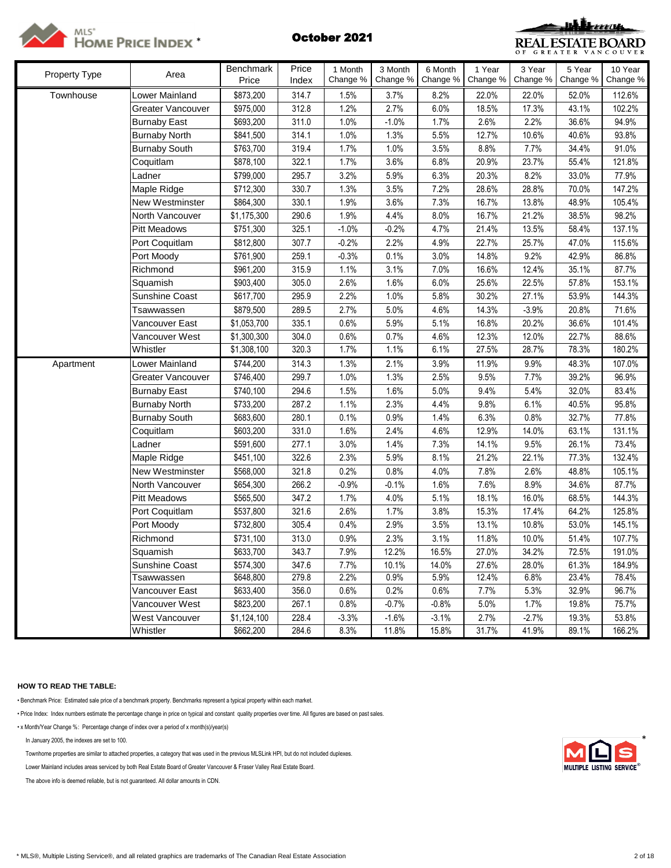



|                      |                       | Benchmark   | Price | 1 Month  | 3 Month  | 6 Month  | 1 Year   | 3 Year   | 5 Year   | 10 Year  |
|----------------------|-----------------------|-------------|-------|----------|----------|----------|----------|----------|----------|----------|
| <b>Property Type</b> | Area                  | Price       | Index | Change % | Change % | Change % | Change % | Change % | Change % | Change % |
| Townhouse            | Lower Mainland        | \$873,200   | 314.7 | 1.5%     | 3.7%     | 8.2%     | 22.0%    | 22.0%    | 52.0%    | 112.6%   |
|                      | Greater Vancouver     | \$975,000   | 312.8 | 1.2%     | 2.7%     | 6.0%     | 18.5%    | 17.3%    | 43.1%    | 102.2%   |
|                      | <b>Burnaby East</b>   | \$693,200   | 311.0 | 1.0%     | $-1.0%$  | 1.7%     | 2.6%     | 2.2%     | 36.6%    | 94.9%    |
|                      | <b>Burnaby North</b>  | \$841,500   | 314.1 | 1.0%     | 1.3%     | 5.5%     | 12.7%    | 10.6%    | 40.6%    | 93.8%    |
|                      | <b>Burnaby South</b>  | \$763,700   | 319.4 | 1.7%     | 1.0%     | 3.5%     | 8.8%     | 7.7%     | 34.4%    | 91.0%    |
|                      | Coquitlam             | \$878,100   | 322.1 | 1.7%     | 3.6%     | 6.8%     | 20.9%    | 23.7%    | 55.4%    | 121.8%   |
|                      | Ladner                | \$799,000   | 295.7 | 3.2%     | 5.9%     | 6.3%     | 20.3%    | 8.2%     | 33.0%    | 77.9%    |
|                      | Maple Ridge           | \$712,300   | 330.7 | 1.3%     | 3.5%     | 7.2%     | 28.6%    | 28.8%    | 70.0%    | 147.2%   |
|                      | New Westminster       | \$864,300   | 330.1 | 1.9%     | 3.6%     | 7.3%     | 16.7%    | 13.8%    | 48.9%    | 105.4%   |
|                      | North Vancouver       | \$1,175,300 | 290.6 | 1.9%     | 4.4%     | 8.0%     | 16.7%    | 21.2%    | 38.5%    | 98.2%    |
|                      | <b>Pitt Meadows</b>   | \$751,300   | 325.1 | $-1.0%$  | $-0.2%$  | 4.7%     | 21.4%    | 13.5%    | 58.4%    | 137.1%   |
|                      | Port Coquitlam        | \$812,800   | 307.7 | $-0.2%$  | 2.2%     | 4.9%     | 22.7%    | 25.7%    | 47.0%    | 115.6%   |
|                      | Port Moody            | \$761,900   | 259.1 | $-0.3%$  | 0.1%     | 3.0%     | 14.8%    | 9.2%     | 42.9%    | 86.8%    |
|                      | Richmond              | \$961,200   | 315.9 | 1.1%     | 3.1%     | 7.0%     | 16.6%    | 12.4%    | 35.1%    | 87.7%    |
|                      | Squamish              | \$903,400   | 305.0 | 2.6%     | 1.6%     | 6.0%     | 25.6%    | 22.5%    | 57.8%    | 153.1%   |
|                      | <b>Sunshine Coast</b> | \$617,700   | 295.9 | 2.2%     | 1.0%     | 5.8%     | 30.2%    | 27.1%    | 53.9%    | 144.3%   |
|                      | Tsawwassen            | \$879,500   | 289.5 | 2.7%     | 5.0%     | 4.6%     | 14.3%    | $-3.9%$  | 20.8%    | 71.6%    |
|                      | Vancouver East        | \$1,053,700 | 335.1 | 0.6%     | 5.9%     | 5.1%     | 16.8%    | 20.2%    | 36.6%    | 101.4%   |
|                      | Vancouver West        | \$1,300,300 | 304.0 | 0.6%     | 0.7%     | 4.6%     | 12.3%    | 12.0%    | 22.7%    | 88.6%    |
|                      | Whistler              | \$1,308,100 | 320.3 | 1.7%     | 1.1%     | 6.1%     | 27.5%    | 28.7%    | 78.3%    | 180.2%   |
| Apartment            | Lower Mainland        | \$744,200   | 314.3 | 1.3%     | 2.1%     | 3.9%     | 11.9%    | 9.9%     | 48.3%    | 107.0%   |
|                      | Greater Vancouver     | \$746,400   | 299.7 | 1.0%     | 1.3%     | 2.5%     | 9.5%     | 7.7%     | 39.2%    | 96.9%    |
|                      | <b>Burnaby East</b>   | \$740,100   | 294.6 | 1.5%     | 1.6%     | 5.0%     | 9.4%     | 5.4%     | 32.0%    | 83.4%    |
|                      | <b>Burnaby North</b>  | \$733,200   | 287.2 | 1.1%     | 2.3%     | 4.4%     | 9.8%     | 6.1%     | 40.5%    | 95.8%    |
|                      | <b>Burnaby South</b>  | \$683,600   | 280.1 | 0.1%     | 0.9%     | 1.4%     | 6.3%     | 0.8%     | 32.7%    | 77.8%    |
|                      | Coquitlam             | \$603,200   | 331.0 | 1.6%     | 2.4%     | 4.6%     | 12.9%    | 14.0%    | 63.1%    | 131.1%   |
|                      | Ladner                | \$591,600   | 277.1 | 3.0%     | 1.4%     | 7.3%     | 14.1%    | 9.5%     | 26.1%    | 73.4%    |
|                      | Maple Ridge           | \$451,100   | 322.6 | 2.3%     | 5.9%     | 8.1%     | 21.2%    | 22.1%    | 77.3%    | 132.4%   |
|                      | New Westminster       | \$568,000   | 321.8 | 0.2%     | 0.8%     | 4.0%     | 7.8%     | 2.6%     | 48.8%    | 105.1%   |
|                      | North Vancouver       | \$654,300   | 266.2 | $-0.9%$  | $-0.1%$  | 1.6%     | 7.6%     | 8.9%     | 34.6%    | 87.7%    |
|                      | <b>Pitt Meadows</b>   | \$565,500   | 347.2 | 1.7%     | 4.0%     | 5.1%     | 18.1%    | 16.0%    | 68.5%    | 144.3%   |
|                      | Port Coquitlam        | \$537,800   | 321.6 | 2.6%     | 1.7%     | 3.8%     | 15.3%    | 17.4%    | 64.2%    | 125.8%   |
|                      | Port Moody            | \$732,800   | 305.4 | 0.4%     | 2.9%     | 3.5%     | 13.1%    | 10.8%    | 53.0%    | 145.1%   |
|                      | Richmond              | \$731,100   | 313.0 | 0.9%     | 2.3%     | 3.1%     | 11.8%    | 10.0%    | 51.4%    | 107.7%   |
|                      | Squamish              | \$633,700   | 343.7 | 7.9%     | 12.2%    | 16.5%    | 27.0%    | 34.2%    | 72.5%    | 191.0%   |
|                      | Sunshine Coast        | \$574,300   | 347.6 | 7.7%     | 10.1%    | 14.0%    | 27.6%    | 28.0%    | 61.3%    | 184.9%   |
|                      | Tsawwassen            | \$648,800   | 279.8 | 2.2%     | 0.9%     | 5.9%     | 12.4%    | 6.8%     | 23.4%    | 78.4%    |
|                      | Vancouver East        | \$633,400   | 356.0 | 0.6%     | 0.2%     | 0.6%     | 7.7%     | 5.3%     | 32.9%    | 96.7%    |
|                      | Vancouver West        | \$823,200   | 267.1 | 0.8%     | $-0.7%$  | $-0.8%$  | 5.0%     | 1.7%     | 19.8%    | 75.7%    |
|                      | West Vancouver        | \$1,124,100 | 228.4 | $-3.3%$  | $-1.6%$  | $-3.1%$  | 2.7%     | $-2.7%$  | 19.3%    | 53.8%    |
|                      | Whistler              | \$662,200   | 284.6 | 8.3%     | 11.8%    | 15.8%    | 31.7%    | 41.9%    | 89.1%    | 166.2%   |

## **HOW TO READ THE TABLE:**

• Benchmark Price: Estimated sale price of a benchmark property. Benchmarks represent a typical property within each market.

• Price Index: Index numbers estimate the percentage change in price on typical and constant quality properties over time. All figures are based on past sales.

• x Month/Year Change %: Percentage change of index over a period of x month(s)/year(s)

In January 2005, the indexes are set to 100.

Townhome properties are similar to attached properties, a category that was used in the previous MLSLink HPI, but do not included duplexes.

Lower Mainland includes areas serviced by both Real Estate Board of Greater Vancouver & Fraser Valley Real Estate Board.

The above info is deemed reliable, but is not guaranteed. All dollar amounts in CDN.

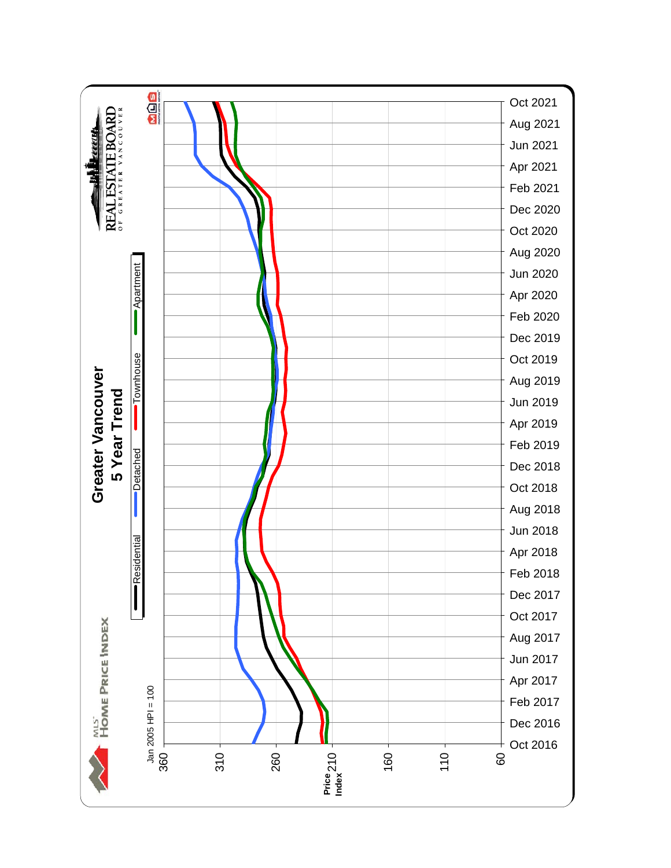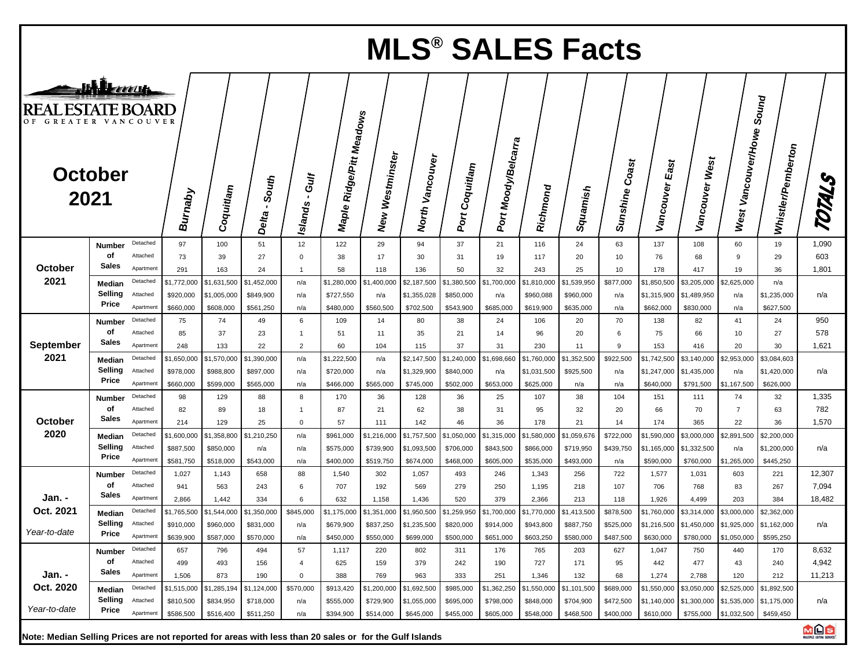|                                                  | <b>MLS<sup>®</sup> SALES Facts</b> |                       |                        |                        |                           |                                  |                             |                           |                          |                        |                     |                          |                         |                   |                              |                          |                                     |                             |                |
|--------------------------------------------------|------------------------------------|-----------------------|------------------------|------------------------|---------------------------|----------------------------------|-----------------------------|---------------------------|--------------------------|------------------------|---------------------|--------------------------|-------------------------|-------------------|------------------------------|--------------------------|-------------------------------------|-----------------------------|----------------|
| <b>REAL ESTATE BOARD</b><br>OF GREATER VANCOUVER | JHLeau<br><b>October</b><br>2021   |                       | <b>Burnaby</b>         | Coquitlam              | South<br>$\cdot$<br>Delta | Gulf<br>$\pmb{\cdot}$<br>Islands | Ridge/Pitt Meadows<br>Maple | Westminster<br><b>New</b> | Vancouver<br>North       | Port Coquitlam         | Port Moody/Belcarra | Richmond                 | Squamish                | Coast<br>Sunshine | $E_{\text{as}}$<br>Vancouver | Vancouver West           | West 1                              | Sound<br>Whistler/Pemberton | TOTALS         |
|                                                  | Number<br>оf                       | Detached<br>Attached  | 97                     | 100                    | 51                        | 12                               | 122                         | 29                        | 94                       | 37                     | 21                  | 116                      | 24                      | 63                | 137                          | 108                      | 60                                  | 19                          | 1,090          |
| October                                          | <b>Sales</b>                       | Apartment             | 73<br>291              | 39<br>163              | 27<br>24                  | $\Omega$<br>$\mathbf{1}$         | 38<br>58                    | 17<br>118                 | 30<br>136                | 31<br>50               | 19<br>32            | 117<br>243               | 20<br>25                | 10<br>10          | 76<br>178                    | 68<br>417                | 9<br>19                             | 29<br>36                    | 603<br>1,801   |
| 2021                                             | Median                             | Detached              | \$1,772,000            | \$1,631,500            | \$1,452,000               | n/a                              | \$1,280,000                 | \$1,400,000               | \$2,187,500              | \$1,380,500            | \$1,700,000         | \$1,810,000              | \$1,539,950             | \$877,000         | \$1,850,500                  | \$3,205,000              | \$2,625,000                         | n/a                         |                |
|                                                  | Selling<br>Price                   | Attached<br>Apartment | \$920,000              | \$1,005,000            | \$849,900                 | n/a                              | \$727,550                   | n/a                       | \$1,355,028              | \$850,000              | n/a                 | \$960,088                | \$960,000               | n/a               | \$1,315,900                  | \$1,489,950              | n/a                                 | \$1,235,000                 | n/a            |
|                                                  | Number                             | Detached              | \$660,000<br>75        | \$608,000<br>74        | \$561,250<br>49           | n/a<br>6                         | \$480,000<br>109            | \$560,500<br>14           | \$702,500<br>80          | \$543,900<br>38        | \$685,000<br>24     | \$619,900<br>106         | \$635,000<br>20         | n/a<br>70         | \$662,000<br>138             | \$830,000<br>82          | n/a<br>41                           | \$627,500<br>24             | 950            |
|                                                  | οf                                 | Attached              | 85                     | 37                     | 23                        | $\mathbf{1}$                     | 51                          | 11                        | 35                       | 21                     | 14                  | 96                       | 20                      | 6                 | 75                           | 66                       | 10                                  | 27                          | 578            |
| September                                        | <b>Sales</b>                       | Apartment             | 248                    | 133                    | 22                        | $\overline{2}$                   | 60                          | 104                       | 115                      | 37                     | 31                  | 230                      | 11                      | 9                 | 153                          | 416                      | 20                                  | 30                          | 1,621          |
| 2021                                             | Median                             | Detached              | \$1,650,000            | \$1,570,000            | \$1,390,000               | n/a                              | \$1,222,500                 | n/a                       | \$2,147,500              | \$1,240,000            | \$1,698,660         | \$1,760,000              | \$1,352,500             | \$922,500         | \$1,742,500                  | \$3,140,000              | \$2,953,000                         | \$3,084,603                 |                |
|                                                  | Selling<br>Price                   | Attached<br>Apartment | \$978,000<br>\$660,000 | \$988,800<br>\$599,000 | \$897,000<br>\$565,000    | n/a<br>n/a                       | \$720,000<br>\$466,000      | n/a<br>\$565,000          | \$1,329,900<br>\$745,000 | \$840,000<br>\$502,000 | n/a<br>\$653,000    | \$1,031,500<br>\$625,000 | \$925,500<br>n/a        | n/a<br>n/a        | \$1,247,000<br>\$640,000     | \$1,435,000<br>\$791,500 | n/a<br>\$1,167,500                  | \$1,420,000<br>\$626,000    | n/a            |
|                                                  | Number                             | Detached              | 98                     | 129                    | 88                        | 8                                | 170                         | 36                        | 128                      | 36                     | 25                  | 107                      | 38                      | 104               | 151                          | 111                      | 74                                  | 32                          | 1,335          |
|                                                  | оf                                 | Attached              | 82                     | 89                     | 18                        | $\overline{1}$                   | 87                          | 21                        | 62                       | 38                     | 31                  | 95                       | 32                      | 20                | 66                           | 70                       | $\overline{7}$                      | 63                          | 782            |
| October                                          | Sales                              | Apartment             | 214                    | 129                    | 25                        | $\Omega$                         | 57                          | 111                       | 142                      | 46                     | 36                  | 178                      | 21                      | 14                | 174                          | 365                      | 22                                  | 36                          | 1,570          |
| 2020                                             | Median                             | Detached              | \$1,600,000            | \$1,358,800            | \$1,210,250               | n/a                              | \$961,000                   | \$1,216,000               | \$1,757,500              | \$1,050,000            | \$1,315,000         | \$1,580,000              | \$1,059,676             | \$722,000         | \$1,590,000                  | \$3,000,000              | \$2,891,500                         | \$2,200,000                 |                |
|                                                  | Selling<br>Price                   | Attached              | \$887,500              | \$850,000              | n/a                       | n/a                              | \$575,000                   | \$739,900                 | \$1,093,500              | \$706,000              | \$843,500           | \$866,000                | \$719,950               | \$439,750         | \$1,165,000                  | \$1,332,500              | n/a                                 | \$1,200,000                 | n/a            |
|                                                  |                                    | Apartment<br>Detached | \$581,750<br>1,027     | \$518,000<br>1,143     | \$543,000<br>658          | n/a<br>88                        | \$400,000<br>1,540          | \$519,750<br>302          | \$674,000<br>1,057       | \$468,000<br>493       | \$605,000<br>246    | \$535,000<br>1,343       | \$493,000<br>256        | n/a<br>722        | \$590,000<br>1,577           | \$760,000<br>1,031       | \$1,265,000<br>603                  | \$445,250<br>221            | 12,307         |
|                                                  | Number<br>оf                       | Attached              | 941                    | 563                    | 243                       | 6                                | 707                         | 192                       | 569                      | 279                    | 250                 | 1,195                    | 218                     | 107               | 706                          | 768                      | 83                                  | 267                         | 7,094          |
| Jan. -                                           | Sales                              | Apartment             | 2,866                  | 1,442                  | 334                       | 6                                | 632                         | 1,158                     | 1,436                    | 520                    | 379                 | 2,366                    | 213                     | 118               | 1,926                        | 4,499                    | 203                                 | 384                         | 18,482         |
| Oct. 2021                                        | Median                             | Detached              | \$1,765,500            | \$1,544,000            | \$1,350,000               | \$845,000                        |                             | \$1,175,000 \$1,351,000   | \$1,950,500              | \$1,259,950            | \$1,700,000         |                          | \$1,770,000 \$1,413,500 | \$878,500         | \$1,760,000                  | \$3,314,000              | \$3,000,000                         | \$2,362,000                 |                |
| Year-to-date                                     | Selling<br>Price                   |                       | \$910,000              | \$960,000              | \$831,000                 | n/a                              | \$679,900                   | \$837,250                 | \$1,235,500              | \$820,000              | \$914,000           | \$943,800                | \$887,750               | \$525,000         |                              |                          | \$1,216,500 \$1,450,000 \$1,925,000 | \$1,162,000                 | n/a            |
|                                                  |                                    | Apartment             | \$639,900              | \$587,000              | \$570,000                 | n/a                              | \$450,000                   | \$550,000                 | \$699,000                | \$500,000              | \$651,000           | \$603,250                | \$580,000               | \$487,500         | \$630,000                    | \$780,000                | \$1,050,000                         | \$595,250                   |                |
|                                                  | Number<br>of                       | Detached<br>Attached  | 657<br>499             | 796<br>493             | 494<br>156                | 57<br>4                          | 1,117<br>625                | 220<br>159                | 802<br>379               | 311<br>242             | 176<br>190          | 765<br>727               | 203<br>171              | 627<br>95         | 1,047<br>442                 | 750<br>477               | 440<br>43                           | 170<br>240                  | 8,632<br>4,942 |
| Jan. -                                           | <b>Sales</b>                       | Apartment             | 1,506                  | 873                    | 190                       | 0                                | 388                         | 769                       | 963                      | 333                    | 251                 | 1,346                    | 132                     | 68                | 1,274                        | 2,788                    | 120                                 | 212                         | 11,213         |
| Oct. 2020                                        | Median                             | Detached              | \$1,515,000            | \$1,285,194            | \$1,124,000               | \$570,000                        | \$913,420                   | \$1,200,000               | \$1,692,500              | \$985,000              | \$1,362,250         | \$1,550,000              | \$1,101,500             | \$689,000         | \$1,550,000                  | \$3,050,000              | \$2,525,000                         | \$1,892,500                 |                |
|                                                  | <b>Selling</b> Attached            |                       | \$810,500              | \$834,950              | \$718,000                 | n/a                              | \$555,000                   | \$729,900                 | \$1,055,000              | \$695,000              | \$798,000           | \$848,000                | \$704,900               | \$472,500         | \$1,140,000                  |                          | \$1,300,000 \$1,535,000             | \$1,175,000                 | n/a            |
| Year-to-date                                     | Price                              | Apartment             | \$586,500              | \$516,400              | \$511,250                 | n/a                              | \$394,900                   | \$514,000                 | \$645,000                | \$455,000              | \$605,000           | \$548,000                | \$468,500               | \$400,000         | \$610,000                    | \$755,000                | \$1,032,500                         | \$459,450                   |                |

**Note: Median Selling Prices are not reported for areas with less than 20 sales or for the Gulf Islands**



1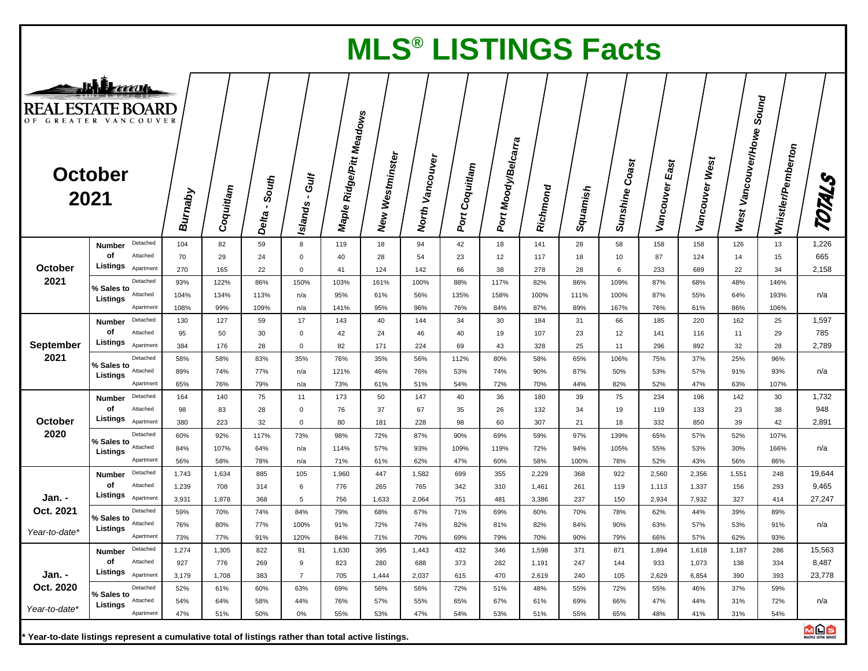|                                                                                     | <b>MLS<sup>®</sup> LISTINGS Facts</b>       |                |              |                  |                                 |                                      |                    |                    |                |                     |                |            |                   |                        |                |                     |                             |                 |
|-------------------------------------------------------------------------------------|---------------------------------------------|----------------|--------------|------------------|---------------------------------|--------------------------------------|--------------------|--------------------|----------------|---------------------|----------------|------------|-------------------|------------------------|----------------|---------------------|-----------------------------|-----------------|
| JHL E<br><b>REAL ESTATE BOARD</b><br>OF GREATER VANCOUVER<br><b>October</b><br>2021 |                                             | <b>Burnaby</b> | Coquitlam    | - South<br>Delta | Gulf<br>$\mathbf{r}$<br>Islands | Maple Ridge/Pitt Meadow <sub>s</sub> | Westminster<br>New | Vancouver<br>North | Port Coquitlam | Port Moody/Belcarra | Richmond       | Squamish   | Coast<br>Sunshine | $E_{3st}$<br>Vancouver | Vancouver West | West Vancouver/Howe | Sound<br>Whistler/Pemberton | TOTALS          |
|                                                                                     | Detached                                    | 104            | 82           | 59               | 8                               | 119                                  | 18                 | 94                 | 42             | 18                  | 141            | 28         | 58                | 158                    | 158            | 126                 | 13                          | 1,226           |
|                                                                                     | <b>Number</b><br>оf<br>Attached<br>Listings | 70             | 29           | 24               | $\mathbf 0$                     | 40                                   | 28                 | 54                 | 23             | 12                  | 117            | 18         | 10                | 87                     | 124            | 14                  | 15                          | 665             |
| October<br>2021                                                                     | Apartment<br>Detached                       | 270<br>93%     | 165<br>122%  | 22<br>86%        | 0<br>150%                       | 41<br>103%                           | 124<br>161%        | 142<br>100%        | 66<br>88%      | 38<br>117%          | 278<br>82%     | 28<br>86%  | 6<br>109%         | 233<br>87%             | 689<br>68%     | 22<br>48%           | 34<br>146%                  | 2,158           |
|                                                                                     | % Sales to<br>Attached<br>Listings          | 104%           | 134%         | 113%             | n/a                             | 95%                                  | 61%                | 56%                | 135%           | 158%                | 100%           | 111%       | 100%              | 87%                    | 55%            | 64%                 | 193%                        | n/a             |
|                                                                                     | Apartment                                   | 108%           | 99%          | 109%             | n/a                             | 141%                                 | 95%                | 96%                | 76%            | 84%                 | 87%            | 89%        | 167%              | 76%                    | 61%            | 86%                 | 106%                        |                 |
|                                                                                     | Detached<br><b>Number</b>                   | 130            | 127          | 59               | 17                              | 143                                  | 40                 | 144                | 34             | 30                  | 184            | 31         | 66                | 185                    | 220            | 162                 | 25                          | 1,597           |
|                                                                                     | оf<br>Attached<br>Listings                  | 95             | 50           | 30               | $\mathbf 0$                     | 42                                   | 24                 | 46                 | 40             | 19                  | 107            | 23         | 12                | 141                    | 116            | 11                  | 29                          | 785             |
| September<br>2021                                                                   | Apartment<br>Detached                       | 384            | 176          | 28               | 0                               | 82                                   | 171                | 224                | 69             | 43                  | 328            | 25         | 11                | 296                    | 892            | 32                  | 28                          | 2,789           |
|                                                                                     | % Sales to<br>Attached                      | 58%<br>89%     | 58%<br>74%   | 83%<br>77%       | 35%<br>n/a                      | 76%<br>121%                          | 35%<br>46%         | 56%<br>76%         | 112%<br>53%    | 80%<br>74%          | 58%<br>90%     | 65%<br>87% | 106%<br>50%       | 75%<br>53%             | 37%<br>57%     | 25%<br>91%          | 96%<br>93%                  | n/a             |
|                                                                                     | Listings<br>Apartment                       | 65%            | 76%          | 79%              | n/a                             | 73%                                  | 61%                | 51%                | 54%            | 72%                 | 70%            | 44%        | 82%               | 52%                    | 47%            | 63%                 | 107%                        |                 |
|                                                                                     | Detached<br>Number                          | 164            | 140          | 75               | 11                              | 173                                  | 50                 | 147                | 40             | 36                  | 180            | 39         | 75                | 234                    | 196            | 142                 | 30                          | 1,732           |
|                                                                                     | оf<br>Attached                              | 98             | 83           | 28               | $\mathbf 0$                     | 76                                   | 37                 | 67                 | 35             | 26                  | 132            | 34         | 19                | 119                    | 133            | 23                  | 38                          | 948             |
| October                                                                             | Listings<br>Apartment                       | 380            | 223          | 32               | $\mathbf 0$                     | 80                                   | 181                | 228                | 98             | 60                  | 307            | 21         | 18                | 332                    | 850            | 39                  | 42                          | 2,891           |
| 2020                                                                                | Detached<br>% Sales to                      | 60%            | 92%          | 117%             | 73%                             | 98%                                  | 72%                | 87%                | 90%            | 69%                 | 59%            | 97%        | 139%              | 65%                    | 57%            | 52%                 | 107%                        |                 |
|                                                                                     | Attached<br>Listings                        | 84%            | 107%         | 64%              | n/a                             | 114%                                 | 57%                | 93%                | 109%           | 119%                | 72%            | 94%        | 105%              | 55%                    | 53%            | 30%                 | 166%                        | n/a             |
|                                                                                     | Apartment<br>Detached                       | 56%            | 58%          | 78%              | n/a                             | 71%                                  | 61%                | 62%                | 47%            | 60%                 | 58%            | 100%       | 78%               | 52%                    | 43%            | 56%                 | 86%                         |                 |
|                                                                                     | <b>Number</b><br>оf<br>Attached             | 1,743<br>1,239 | 1,634<br>708 | 885<br>314       | 105<br>6                        | 1,960<br>776                         | 447<br>265         | 1,582<br>765       | 699<br>342     | 355<br>310          | 2,229<br>1,461 | 368<br>261 | 922<br>119        | 2,560<br>1,113         | 2,356<br>1,337 | 1,551<br>156        | 248<br>293                  | 19,644<br>9,465 |
| Jan. -                                                                              | Listings<br>Apartment                       | 3,931          | 1,878        | 368              | 5                               | 756                                  | 1,633              | 2,064              | 751            | 481                 | 3,386          | 237        | 150               | 2,934                  | 7,932          | 327                 | 414                         | 27,247          |
| Oct. 2021                                                                           | Detached                                    | 59%            | 70%          | 74%              | 84%                             | 79%                                  | 68%                | 67%                | 71%            | 69%                 | 60%            | 70%        | 78%               | 62%                    | 44%            | 39%                 | 89%                         |                 |
|                                                                                     | % Sales to<br>Attached<br>Listings          | 76%            | 80%          | 77%              | 100%                            | 91%                                  | 72%                | 74%                | 82%            | 81%                 | 82%            | 84%        | 90%               | 63%                    | 57%            | 53%                 | 91%                         | n/a             |
| Year-to-date*                                                                       | Apartment                                   | 73%            | 77%          | 91%              | 120%                            | 84%                                  | 71%                | 70%                | 69%            | 79%                 | 70%            | 90%        | 79%               | 66%                    | 57%            | 62%                 | 93%                         |                 |
|                                                                                     | Number Detached                             | 1,274          | 1,305        | 822              | 91                              | 1,630                                | 395                | 1,443              | 432            | 346                 | 1,598          | 371        | 871               | 1,894                  | 1,618          | 1,187               | 286                         | 15,563          |
|                                                                                     | of<br>Attached<br>Listings Apartment        | 927            | 776          | 269              | 9                               | 823                                  | 280                | 688                | 373            | 282                 | 1,191          | 247        | 144               | 933                    | 1,073          | 138                 | 334                         | 8,487           |
| Jan. -<br>Oct. 2020                                                                 |                                             | 3,179          | 1,708        | 383              | $\overline{7}$                  | 705                                  | 1,444              | 2,037              | 615            | 470                 | 2,619          | 240        | 105               | 2,629                  | 6,854          | 390                 | 393                         | 23,778          |
|                                                                                     | Detached<br>% Sales to<br>Attached          | 52%<br>54%     | 61%<br>64%   | 60%              | 63%<br>44%                      | 69%<br>76%                           | 56%<br>57%         | 56%                | 72%            | 51%<br>67%          | 48%            | 55%<br>69% | 72%<br>66%        | 55%<br>47%             | 46%<br>44%     | 37%                 | 59%<br>72%                  | n/a             |
| Year-to-date*                                                                       | Listings<br>Apartment                       | 47%            | 51%          | 58%<br>50%       | $0\%$                           | 55%                                  | 53%                | 55%<br>47%         | 65%<br>54%     | 53%                 | 61%<br>51%     | 55%        | 65%               | 48%                    | 41%            | 31%<br>31%          | 54%                         |                 |
|                                                                                     |                                             |                |              |                  |                                 |                                      |                    |                    |                |                     |                |            |                   |                        |                |                     |                             |                 |



1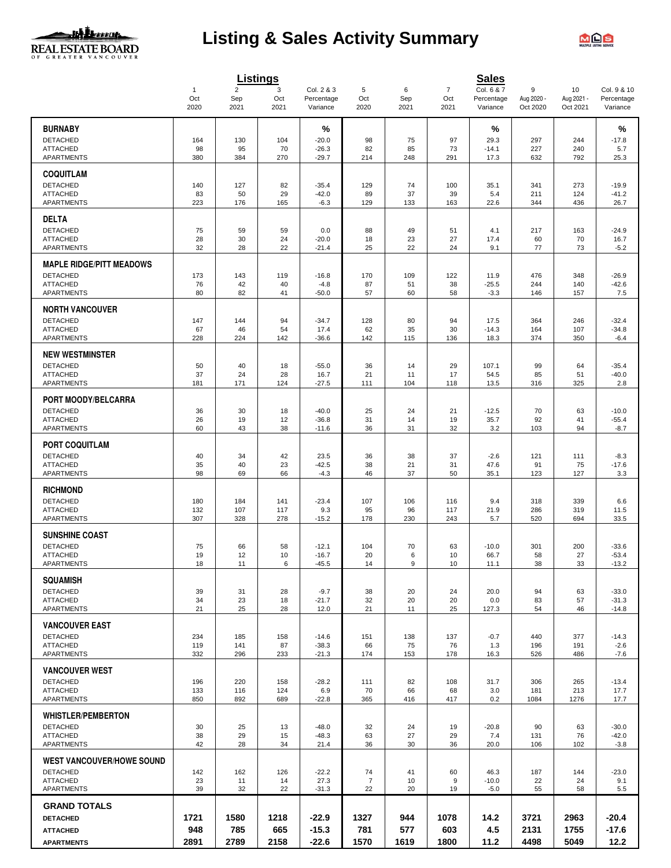

# **Listing & Sales Activity Summary**



|                                        |                     |                       | <b>Listings</b> |                          |                      |           |                       | <b>Sales</b>             |                 |                  |                           |
|----------------------------------------|---------------------|-----------------------|-----------------|--------------------------|----------------------|-----------|-----------------------|--------------------------|-----------------|------------------|---------------------------|
|                                        | $\mathbf{1}$<br>Oct | $\overline{2}$<br>Sep | 3<br>Oct        | Col. 2 & 3<br>Percentage | 5<br>Oct             | 6<br>Sep  | $\overline{7}$<br>Oct | Col. 6 & 7<br>Percentage | 9<br>Aug 2020 - | 10<br>Aug 2021 - | Col. 9 & 10<br>Percentage |
|                                        | 2020                | 2021                  | 2021            | Variance                 | 2020                 | 2021      | 2021                  | Variance                 | Oct 2020        | Oct 2021         | Variance                  |
|                                        |                     |                       |                 |                          |                      |           |                       |                          |                 |                  |                           |
| <b>BURNABY</b>                         |                     |                       |                 | %                        |                      |           |                       | %                        |                 |                  | %                         |
| <b>DETACHED</b><br><b>ATTACHED</b>     | 164<br>98           | 130<br>95             | 104<br>70       | $-20.0$<br>$-26.3$       | 98<br>82             | 75<br>85  | 97<br>73              | 29.3<br>$-14.1$          | 297<br>227      | 244<br>240       | $-17.8$<br>5.7            |
| <b>APARTMENTS</b>                      | 380                 | 384                   | 270             | $-29.7$                  | 214                  | 248       | 291                   | 17.3                     | 632             | 792              | 25.3                      |
| <b>COQUITLAM</b>                       |                     |                       |                 |                          |                      |           |                       |                          |                 |                  |                           |
| <b>DETACHED</b>                        | 140                 | 127                   | 82              | $-35.4$                  | 129                  | 74        | 100                   | 35.1                     | 341             | 273              | $-19.9$                   |
| <b>ATTACHED</b>                        | 83                  | 50                    | 29              | $-42.0$                  | 89                   | 37        | 39                    | 5.4                      | 211             | 124              | $-41.2$                   |
| APARTMENTS                             | 223                 | 176                   | 165             | $-6.3$                   | 129                  | 133       | 163                   | 22.6                     | 344             | 436              | 26.7                      |
| <b>DELTA</b>                           |                     |                       |                 |                          |                      |           |                       |                          |                 |                  |                           |
| <b>DETACHED</b>                        | 75                  | 59                    | 59              | 0.0                      | 88                   | 49        | 51                    | 4.1                      | 217             | 163              | $-24.9$                   |
| <b>ATTACHED</b>                        | 28                  | 30                    | 24              | $-20.0$                  | 18                   | 23        | 27                    | 17.4                     | 60              | 70               | 16.7                      |
| <b>APARTMENTS</b>                      | 32                  | 28                    | 22              | $-21.4$                  | 25                   | 22        | 24                    | 9.1                      | 77              | 73               | $-5.2$                    |
| <b>MAPLE RIDGE/PITT MEADOWS</b>        |                     |                       |                 |                          |                      |           |                       |                          |                 |                  |                           |
| <b>DETACHED</b>                        | 173                 | 143                   | 119             | $-16.8$                  | 170                  | 109       | 122                   | 11.9                     | 476             | 348              | $-26.9$                   |
| <b>ATTACHED</b>                        | 76                  | 42                    | 40              | $-4.8$                   | 87                   | 51        | 38                    | $-25.5$                  | 244             | 140              | $-42.6$                   |
| <b>APARTMENTS</b>                      | 80                  | 82                    | 41              | $-50.0$                  | 57                   | 60        | 58                    | $-3.3$                   | 146             | 157              | 7.5                       |
| <b>NORTH VANCOUVER</b>                 |                     |                       |                 |                          |                      |           |                       |                          |                 |                  |                           |
| <b>DETACHED</b>                        | 147                 | 144                   | 94              | $-34.7$                  | 128                  | 80        | 94                    | 17.5                     | 364             | 246              | $-32.4$                   |
| <b>ATTACHED</b><br><b>APARTMENTS</b>   | 67<br>228           | 46<br>224             | 54<br>142       | 17.4<br>$-36.6$          | 62<br>142            | 35<br>115 | 30<br>136             | $-14.3$<br>18.3          | 164<br>374      | 107<br>350       | $-34.8$<br>$-6.4$         |
|                                        |                     |                       |                 |                          |                      |           |                       |                          |                 |                  |                           |
| <b>NEW WESTMINSTER</b>                 |                     |                       |                 |                          |                      |           |                       |                          |                 |                  |                           |
| <b>DETACHED</b><br><b>ATTACHED</b>     | 50<br>37            | 40<br>24              | 18<br>28        | $-55.0$<br>16.7          | 36<br>21             | 14<br>11  | 29<br>17              | 107.1<br>54.5            | 99<br>85        | 64<br>51         | $-35.4$<br>$-40.0$        |
| <b>APARTMENTS</b>                      | 181                 | 171                   | 124             | $-27.5$                  | 111                  | 104       | 118                   | 13.5                     | 316             | 325              | 2.8                       |
|                                        |                     |                       |                 |                          |                      |           |                       |                          |                 |                  |                           |
| PORT MOODY/BELCARRA<br><b>DETACHED</b> |                     |                       |                 | $-40.0$                  |                      |           |                       |                          |                 |                  |                           |
| <b>ATTACHED</b>                        | 36<br>26            | 30<br>19              | 18<br>12        | $-36.8$                  | 25<br>31             | 24<br>14  | 21<br>19              | $-12.5$<br>35.7          | 70<br>92        | 63<br>41         | $-10.0$<br>$-55.4$        |
| APARTMENTS                             | 60                  | 43                    | 38              | $-11.6$                  | 36                   | 31        | 32                    | 3.2                      | 103             | 94               | $-8.7$                    |
| <b>PORT COQUITLAM</b>                  |                     |                       |                 |                          |                      |           |                       |                          |                 |                  |                           |
| <b>DETACHED</b>                        | 40                  | 34                    | 42              | 23.5                     | 36                   | 38        | 37                    | $-2.6$                   | 121             | 111              | $-8.3$                    |
| <b>ATTACHED</b>                        | 35                  | 40                    | 23              | $-42.5$                  | 38                   | 21        | 31                    | 47.6                     | 91              | 75               | $-17.6$                   |
| <b>APARTMENTS</b>                      | 98                  | 69                    | 66              | $-4.3$                   | 46                   | 37        | 50                    | 35.1                     | 123             | 127              | 3.3                       |
| <b>RICHMOND</b>                        |                     |                       |                 |                          |                      |           |                       |                          |                 |                  |                           |
| <b>DETACHED</b>                        | 180                 | 184                   | 141             | $-23.4$                  | 107                  | 106       | 116                   | 9.4                      | 318             | 339              | 6.6                       |
| <b>ATTACHED</b>                        | 132                 | 107                   | 117             | 9.3                      | 95                   | 96        | 117                   | 21.9                     | 286             | 319              | 11.5                      |
| APARTMENTS                             | 307                 | 328                   | 278             | $-15.2$                  | 178                  | 230       | 243                   | 5.7                      | 520             | 694              | 33.5                      |
| <b>SUNSHINE COAST</b>                  |                     |                       |                 |                          |                      |           |                       |                          |                 |                  |                           |
| <b>DETACHED</b>                        | 75                  | 66                    | 58              | $-12.1$                  | 104                  | 70        | 63                    | $-10.0$                  | 301             | 200              | $-33.6$                   |
| <b>ATTACHED</b><br>APARTMENTS          | 19<br>18            | 12<br>11              | 10<br>6         | $-16.7$<br>$-45.5$       | 20<br>14             | 6<br>9    | 10<br>10              | 66.7<br>11.1             | 58<br>38        | 27<br>33         | $-53.4$<br>$-13.2$        |
|                                        |                     |                       |                 |                          |                      |           |                       |                          |                 |                  |                           |
| <b>SQUAMISH</b>                        |                     |                       |                 |                          |                      |           |                       |                          |                 |                  |                           |
| <b>DETACHED</b><br><b>ATTACHED</b>     | 39<br>34            | 31<br>23              | 28<br>18        | $-9.7$<br>$-21.7$        | 38<br>32             | 20<br>20  | 24<br>20              | 20.0<br>0.0              | 94<br>83        | 63<br>57         | $-33.0$<br>$-31.3$        |
| APARTMENTS                             | 21                  | 25                    | 28              | 12.0                     | 21                   | 11        | 25                    | 127.3                    | 54              | 46               | $-14.8$                   |
| <b>VANCOUVER EAST</b>                  |                     |                       |                 |                          |                      |           |                       |                          |                 |                  |                           |
| <b>DETACHED</b>                        | 234                 | 185                   | 158             | $-14.6$                  | 151                  | 138       | 137                   | $-0.7$                   | 440             | 377              | $-14.3$                   |
| <b>ATTACHED</b>                        | 119                 | 141                   | 87              | $-38.3$                  | 66                   | 75        | 76                    | 1.3                      | 196             | 191              | $-2.6$                    |
| <b>APARTMENTS</b>                      | 332                 | 296                   | 233             | $-21.3$                  | 174                  | 153       | 178                   | 16.3                     | 526             | 486              | $-7.6$                    |
| <b>VANCOUVER WEST</b>                  |                     |                       |                 |                          |                      |           |                       |                          |                 |                  |                           |
| <b>DETACHED</b>                        | 196                 | 220                   | 158             | $-28.2$                  | 111                  | 82        | 108                   | 31.7                     | 306             | 265              | $-13.4$                   |
| <b>ATTACHED</b>                        | 133                 | 116                   | 124             | 6.9                      | 70                   | 66        | 68                    | 3.0                      | 181             | 213              | 17.7                      |
| APARTMENTS                             | 850                 | 892                   | 689             | $-22.8$                  | 365                  | 416       | 417                   | 0.2                      | 1084            | 1276             | 17.7                      |
| <b>WHISTLER/PEMBERTON</b>              |                     |                       |                 |                          |                      |           |                       |                          |                 |                  |                           |
| <b>DETACHED</b>                        | 30                  | 25                    | 13              | $-48.0$                  | 32                   | 24        | 19                    | $-20.8$                  | 90              | 63               | $-30.0$                   |
| <b>ATTACHED</b><br><b>APARTMENTS</b>   | 38<br>42            | 29<br>28              | 15<br>34        | $-48.3$<br>21.4          | 63<br>36             | 27<br>30  | 29<br>36              | 7.4<br>20.0              | 131<br>106      | 76<br>102        | $-42.0$<br>$-3.8$         |
|                                        |                     |                       |                 |                          |                      |           |                       |                          |                 |                  |                           |
| <b>WEST VANCOUVER/HOWE SOUND</b>       |                     |                       |                 |                          |                      |           |                       |                          |                 |                  |                           |
| <b>DETACHED</b><br><b>ATTACHED</b>     | 142<br>23           | 162<br>11             | 126<br>14       | $-22.2$<br>27.3          | 74<br>$\overline{7}$ | 41<br>10  | 60<br>9               | 46.3<br>$-10.0$          | 187<br>22       | 144<br>24        | $-23.0$<br>9.1            |
| APARTMENTS                             | 39                  | 32                    | 22              | $-31.3$                  | 22                   | 20        | 19                    | $-5.0$                   | 55              | 58               | $5.5$                     |
| <b>GRAND TOTALS</b>                    |                     |                       |                 |                          |                      |           |                       |                          |                 |                  |                           |
| <b>DETACHED</b>                        | 1721                | 1580                  | 1218            | $-22.9$                  | 1327                 | 944       | 1078                  | 14.2                     | 3721            | 2963             | $-20.4$                   |
| <b>ATTACHED</b>                        | 948                 | 785                   | 665             | $-15.3$                  | 781                  | 577       | 603                   | 4.5                      | 2131            | 1755             | $-17.6$                   |
| <b>APARTMENTS</b>                      | 2891                | 2789                  | 2158            | $-22.6$                  | 1570                 | 1619      | 1800                  | 11.2                     | 4498            | 5049             | 12.2                      |
|                                        |                     |                       |                 |                          |                      |           |                       |                          |                 |                  |                           |